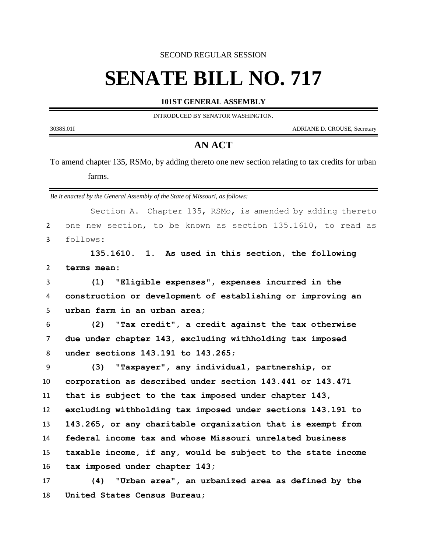SECOND REGULAR SESSION

## **SENATE BILL NO. 717**

**101ST GENERAL ASSEMBLY**

INTRODUCED BY SENATOR WASHINGTON.

3038S.01I ADRIANE D. CROUSE, Secretary

-

## **AN ACT**

To amend chapter 135, RSMo, by adding thereto one new section relating to tax credits for urban farms.

*Be it enacted by the General Assembly of the State of Missouri, as follows:*

**United States Census Bureau;**

|                | Section A. Chapter 135, RSMo, is amended by adding thereto   |
|----------------|--------------------------------------------------------------|
| $\overline{2}$ | one new section, to be known as section 135.1610, to read as |
| 3              | follows:                                                     |
|                | 135.1610. 1. As used in this section, the following          |
| $\overline{2}$ | terms mean:                                                  |
| 3              | (1)<br>"Eligible expenses", expenses incurred in the         |
| 4              | construction or development of establishing or improving an  |
| 5              | urban farm in an urban area;                                 |
| 6              | "Tax credit", a credit against the tax otherwise<br>(2)      |
| $\overline{7}$ | due under chapter 143, excluding withholding tax imposed     |
| 8              | under sections 143.191 to 143.265;                           |
| 9              | "Taxpayer", any individual, partnership, or<br>(3)           |
| 10             | corporation as described under section 143.441 or 143.471    |
| 11             | that is subject to the tax imposed under chapter 143,        |
| 12             | excluding withholding tax imposed under sections 143.191 to  |
| 13             | 143.265, or any charitable organization that is exempt from  |
| 14             | federal income tax and whose Missouri unrelated business     |
| 15             | taxable income, if any, would be subject to the state income |
| 16             | tax imposed under chapter 143;                               |
| 17             | "Urban area", an urbanized area as defined by the<br>(4)     |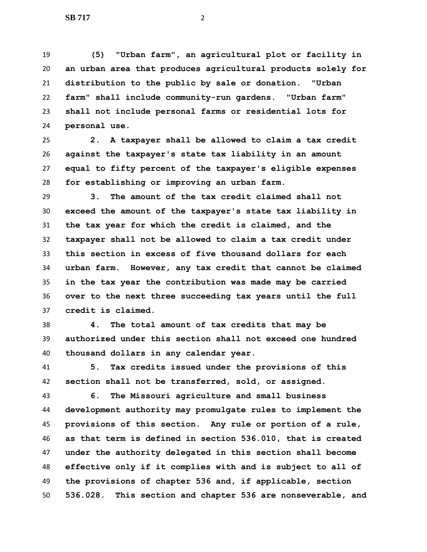**(5) "Urban farm", an agricultural plot or facility in an urban area that produces agricultural products solely for distribution to the public by sale or donation. "Urban farm" shall include community-run gardens. "Urban farm" shall not include personal farms or residential lots for personal use.**

 **2. A taxpayer shall be allowed to claim a tax credit against the taxpayer's state tax liability in an amount equal to fifty percent of the taxpayer's eligible expenses for establishing or improving an urban farm.**

 **3. The amount of the tax credit claimed shall not exceed the amount of the taxpayer's state tax liability in the tax year for which the credit is claimed, and the taxpayer shall not be allowed to claim a tax credit under this section in excess of five thousand dollars for each urban farm. However, any tax credit that cannot be claimed in the tax year the contribution was made may be carried over to the next three succeeding tax years until the full credit is claimed.**

 **4. The total amount of tax credits that may be authorized under this section shall not exceed one hundred thousand dollars in any calendar year.**

 **5. Tax credits issued under the provisions of this section shall not be transferred, sold, or assigned.**

 **6. The Missouri agriculture and small business development authority may promulgate rules to implement the provisions of this section. Any rule or portion of a rule, as that term is defined in section 536.010, that is created under the authority delegated in this section shall become effective only if it complies with and is subject to all of the provisions of chapter 536 and, if applicable, section 536.028. This section and chapter 536 are nonseverable, and**